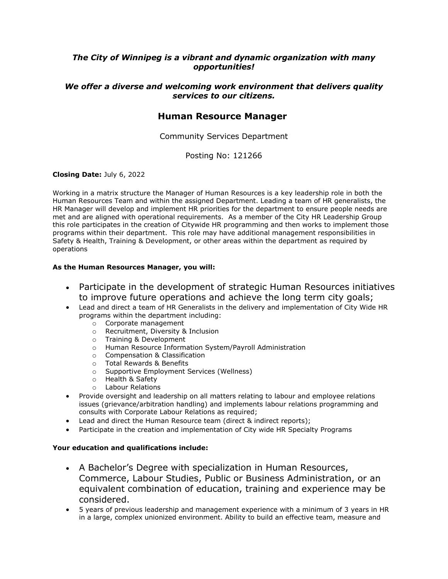## *The City of Winnipeg is a vibrant and dynamic organization with many opportunities!*

### *We offer a diverse and welcoming work environment that delivers quality services to our citizens.*

## **Human Resource Manager**

Community Services Department

Posting No: 121266

#### **Closing Date:** July 6, 2022

Working in a matrix structure the Manager of Human Resources is a key leadership role in both the Human Resources Team and within the assigned Department. Leading a team of HR generalists, the HR Manager will develop and implement HR priorities for the department to ensure people needs are met and are aligned with operational requirements. As a member of the City HR Leadership Group this role participates in the creation of Citywide HR programming and then works to implement those programs within their department. This role may have additional management responsibilities in Safety & Health, Training & Development, or other areas within the department as required by operations

#### **As the Human Resources Manager, you will:**

- Participate in the development of strategic Human Resources initiatives to improve future operations and achieve the long term city goals;
- Lead and direct a team of HR Generalists in the delivery and implementation of City Wide HR programs within the department including:
	- o Corporate management
	- o Recruitment, Diversity & Inclusion
	- o Training & Development
	- o Human Resource Information System/Payroll Administration
	- o Compensation & Classification
	- o Total Rewards & Benefits
	- o Supportive Employment Services (Wellness)
	- o Health & Safety
	- o Labour Relations
- Provide oversight and leadership on all matters relating to labour and employee relations issues (grievance/arbitration handling) and implements labour relations programming and consults with Corporate Labour Relations as required;
- Lead and direct the Human Resource team (direct & indirect reports):
- Participate in the creation and implementation of City wide HR Specialty Programs

#### **Your education and qualifications include:**

- A Bachelor's Degree with specialization in Human Resources, Commerce, Labour Studies, Public or Business Administration, or an equivalent combination of education, training and experience may be considered.
- 5 years of previous leadership and management experience with a minimum of 3 years in HR in a large, complex unionized environment. Ability to build an effective team, measure and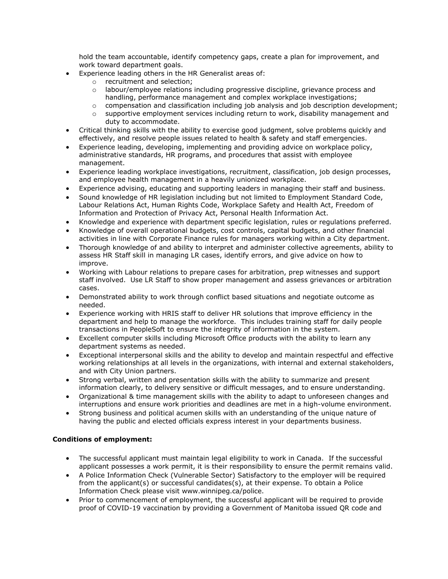hold the team accountable, identify competency gaps, create a plan for improvement, and work toward department goals.

- Experience leading others in the HR Generalist areas of:
	- o recruitment and selection;
	- o labour/employee relations including progressive discipline, grievance process and handling, performance management and complex workplace investigations;
	- o compensation and classification including job analysis and job description development;
	- $\circ$  supportive employment services including return to work, disability management and duty to accommodate.
- Critical thinking skills with the ability to exercise good judgment, solve problems quickly and effectively, and resolve people issues related to health & safety and staff emergencies.
- Experience leading, developing, implementing and providing advice on workplace policy, administrative standards, HR programs, and procedures that assist with employee management.
- Experience leading workplace investigations, recruitment, classification, job design processes, and employee health management in a heavily unionized workplace.
- Experience advising, educating and supporting leaders in managing their staff and business.
- Sound knowledge of HR legislation including but not limited to Employment Standard Code, Labour Relations Act, Human Rights Code, Workplace Safety and Health Act, Freedom of Information and Protection of Privacy Act, Personal Health Information Act.
- Knowledge and experience with department specific legislation, rules or regulations preferred.
- Knowledge of overall operational budgets, cost controls, capital budgets, and other financial activities in line with Corporate Finance rules for managers working within a City department.
- Thorough knowledge of and ability to interpret and administer collective agreements, ability to assess HR Staff skill in managing LR cases, identify errors, and give advice on how to improve.
- Working with Labour relations to prepare cases for arbitration, prep witnesses and support staff involved. Use LR Staff to show proper management and assess grievances or arbitration cases.
- Demonstrated ability to work through conflict based situations and negotiate outcome as needed.
- Experience working with HRIS staff to deliver HR solutions that improve efficiency in the department and help to manage the workforce. This includes training staff for daily people transactions in PeopleSoft to ensure the integrity of information in the system.
- Excellent computer skills including Microsoft Office products with the ability to learn any department systems as needed.
- Exceptional interpersonal skills and the ability to develop and maintain respectful and effective working relationships at all levels in the organizations, with internal and external stakeholders, and with City Union partners.
- Strong verbal, written and presentation skills with the ability to summarize and present information clearly, to delivery sensitive or difficult messages, and to ensure understanding.
- Organizational & time management skills with the ability to adapt to unforeseen changes and interruptions and ensure work priorities and deadlines are met in a high-volume environment.
- Strong business and political acumen skills with an understanding of the unique nature of having the public and elected officials express interest in your departments business.

#### **Conditions of employment:**

- The successful applicant must maintain legal eligibility to work in Canada. If the successful applicant possesses a work permit, it is their responsibility to ensure the permit remains valid.
- A Police Information Check (Vulnerable Sector) Satisfactory to the employer will be required from the applicant(s) or successful candidates(s), at their expense. To obtain a Police Information Check please visit www.winnipeg.ca/police.
- Prior to commencement of employment, the successful applicant will be required to provide proof of COVID-19 vaccination by providing a Government of Manitoba issued QR code and